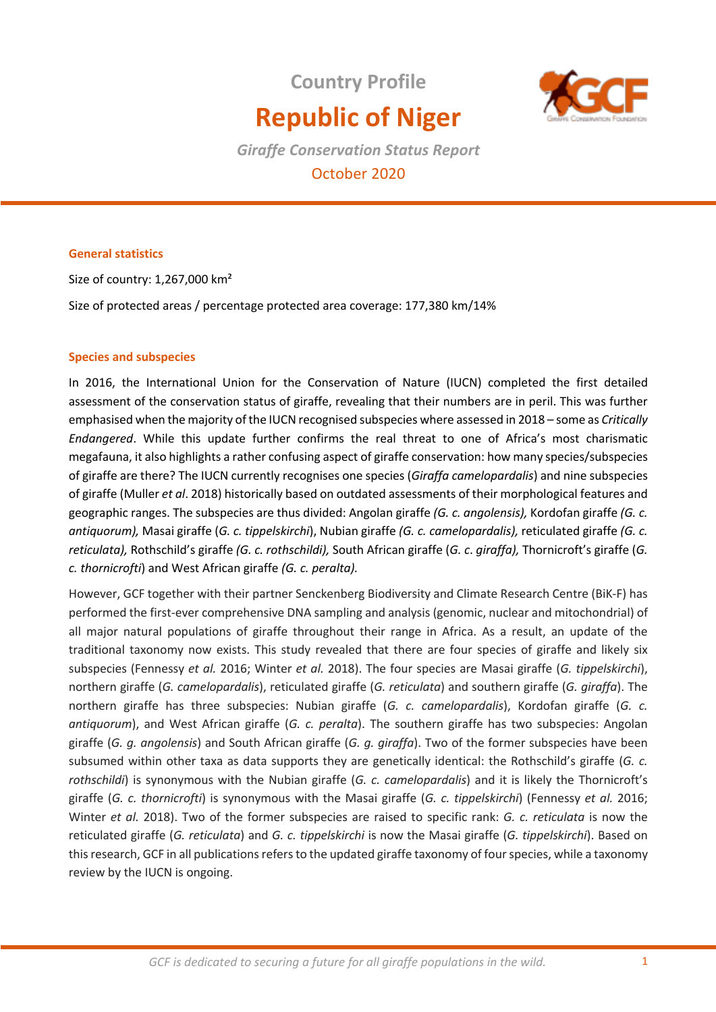# **Country Profile Republic of Niger**



*Giraffe Conservation Status Report* October 2020

## **General statistics**

Size of country: 1,267,000 km² Size of protected areas / percentage protected area coverage: 177,380 km/14%

## **Species and subspecies**

In 2016, the International Union for the Conservation of Nature (IUCN) completed the first detailed assessment of the conservation status of giraffe, revealing that their numbers are in peril. This was further emphasised when the majority of the IUCN recognised subspecies where assessed in 2018 – some as *Critically Endangered*. While this update further confirms the real threat to one of Africa's most charismatic megafauna, it also highlights a rather confusing aspect of giraffe conservation: how many species/subspecies of giraffe are there? The IUCN currently recognises one species (*Giraffa camelopardalis*) and nine subspecies of giraffe (Muller *et al*. 2018) historically based on outdated assessments of their morphological features and geographic ranges. The subspecies are thus divided: Angolan giraffe *(G. c. angolensis),* Kordofan giraffe *(G. c. antiquorum),* Masai giraffe (*G. c. tippelskirchi*), Nubian giraffe *(G. c. camelopardalis),* reticulated giraffe *(G. c. reticulata),* Rothschild's giraffe *(G. c. rothschildi),* South African giraffe (*G. c*. *giraffa),* Thornicroft's giraffe (*G. c. thornicrofti*) and West African giraffe *(G. c. peralta).* 

However, GCF together with their partner Senckenberg Biodiversity and Climate Research Centre (BiK-F) has performed the first-ever comprehensive DNA sampling and analysis (genomic, nuclear and mitochondrial) of all major natural populations of giraffe throughout their range in Africa. As a result, an update of the traditional taxonomy now exists. This study revealed that there are four species of giraffe and likely six subspecies (Fennessy *et al.* 2016; Winter *et al.* 2018). The four species are Masai giraffe (*G. tippelskirchi*), northern giraffe (*G. camelopardalis*), reticulated giraffe (*G. reticulata*) and southern giraffe (*G. giraffa*). The northern giraffe has three subspecies: Nubian giraffe (*G. c. camelopardalis*), Kordofan giraffe (*G. c. antiquorum*), and West African giraffe (*G. c. peralta*). The southern giraffe has two subspecies: Angolan giraffe (*G. g. angolensis*) and South African giraffe (*G. g. giraffa*). Two of the former subspecies have been subsumed within other taxa as data supports they are genetically identical: the Rothschild's giraffe (*G. c. rothschildi*) is synonymous with the Nubian giraffe (*G. c. camelopardalis*) and it is likely the Thornicroft's giraffe (*G. c. thornicrofti*) is synonymous with the Masai giraffe (*G. c. tippelskirchi*) (Fennessy *et al.* 2016; Winter *et al.* 2018). Two of the former subspecies are raised to specific rank: *G. c. reticulata* is now the reticulated giraffe (*G. reticulata*) and *G. c. tippelskirchi* is now the Masai giraffe (*G. tippelskirchi*). Based on this research, GCF in all publications refers to the updated giraffe taxonomy of four species, while a taxonomy review by the IUCN is ongoing.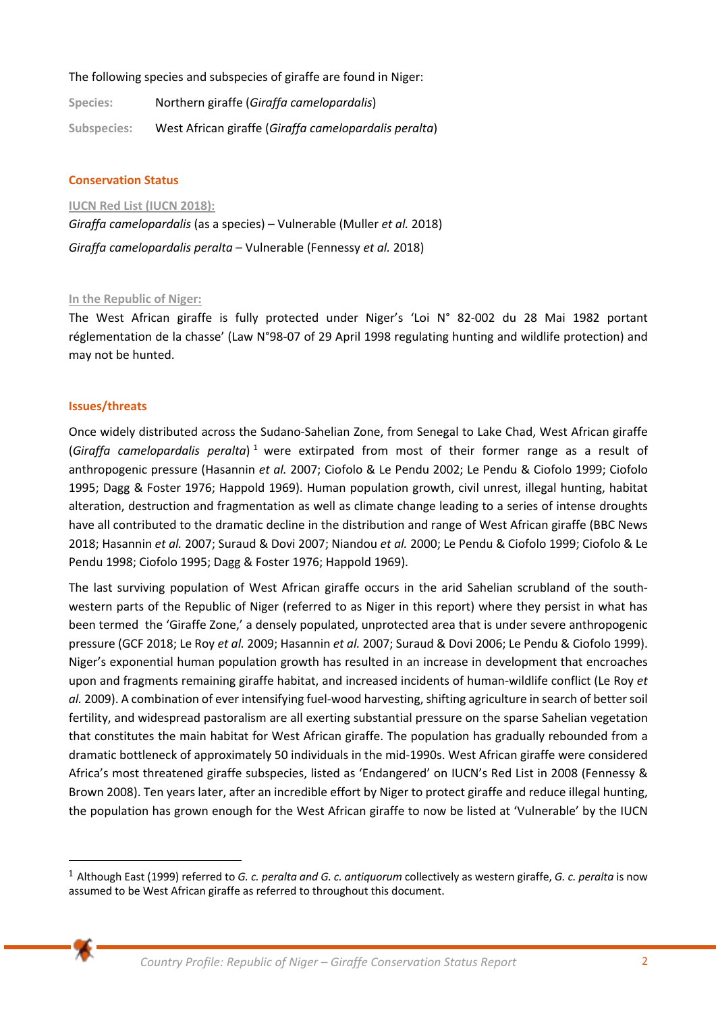The following species and subspecies of giraffe are found in Niger:

| Species:    | Northern giraffe (Giraffa camelopardalis)             |
|-------------|-------------------------------------------------------|
| Subspecies: | West African giraffe (Giraffa camelopardalis peralta) |

#### **Conservation Status**

**IUCN Red List (IUCN 2018):** 

*Giraffa camelopardalis* (as a species) – Vulnerable (Muller *et al.* 2018) *Giraffa camelopardalis peralta* – Vulnerable (Fennessy *et al.* 2018)

#### **In the Republic of Niger:**

The West African giraffe is fully protected under Niger's 'Loi N° 82-002 du 28 Mai 1982 portant réglementation de la chasse' (Law N°98-07 of 29 April 1998 regulating hunting and wildlife protection) and may not be hunted.

#### **Issues/threats**

Once widely distributed across the Sudano-Sahelian Zone, from Senegal to Lake Chad, West African giraffe (Giraffa camelopardalis peralta)<sup>1</sup> were extirpated from most of their former range as a result of anthropogenic pressure (Hasannin *et al.* 2007; Ciofolo & Le Pendu 2002; Le Pendu & Ciofolo 1999; Ciofolo 1995; Dagg & Foster 1976; Happold 1969). Human population growth, civil unrest, illegal hunting, habitat alteration, destruction and fragmentation as well as climate change leading to a series of intense droughts have all contributed to the dramatic decline in the distribution and range of West African giraffe (BBC News 2018; Hasannin *et al.* 2007; Suraud & Dovi 2007; Niandou *et al.* 2000; Le Pendu & Ciofolo 1999; Ciofolo & Le Pendu 1998; Ciofolo 1995; Dagg & Foster 1976; Happold 1969).

The last surviving population of West African giraffe occurs in the arid Sahelian scrubland of the southwestern parts of the Republic of Niger (referred to as Niger in this report) where they persist in what has been termed the 'Giraffe Zone,' a densely populated, unprotected area that is under severe anthropogenic pressure (GCF 2018; Le Roy *et al.* 2009; Hasannin *et al.* 2007; Suraud & Dovi 2006; Le Pendu & Ciofolo 1999). Niger's exponential human population growth has resulted in an increase in development that encroaches upon and fragments remaining giraffe habitat, and increased incidents of human-wildlife conflict (Le Roy *et al.* 2009). A combination of ever intensifying fuel-wood harvesting, shifting agriculture in search of better soil fertility, and widespread pastoralism are all exerting substantial pressure on the sparse Sahelian vegetation that constitutes the main habitat for West African giraffe. The population has gradually rebounded from a dramatic bottleneck of approximately 50 individuals in the mid-1990s. West African giraffe were considered Africa's most threatened giraffe subspecies, listed as 'Endangered' on IUCN's Red List in 2008 (Fennessy & Brown 2008). Ten years later, after an incredible effort by Niger to protect giraffe and reduce illegal hunting, the population has grown enough for the West African giraffe to now be listed at 'Vulnerable' by the IUCN



<sup>1</sup> Although East (1999) referred to *G. c. peralta and G. c. antiquorum* collectively as western giraffe, *G. c. peralta* is now assumed to be West African giraffe as referred to throughout this document.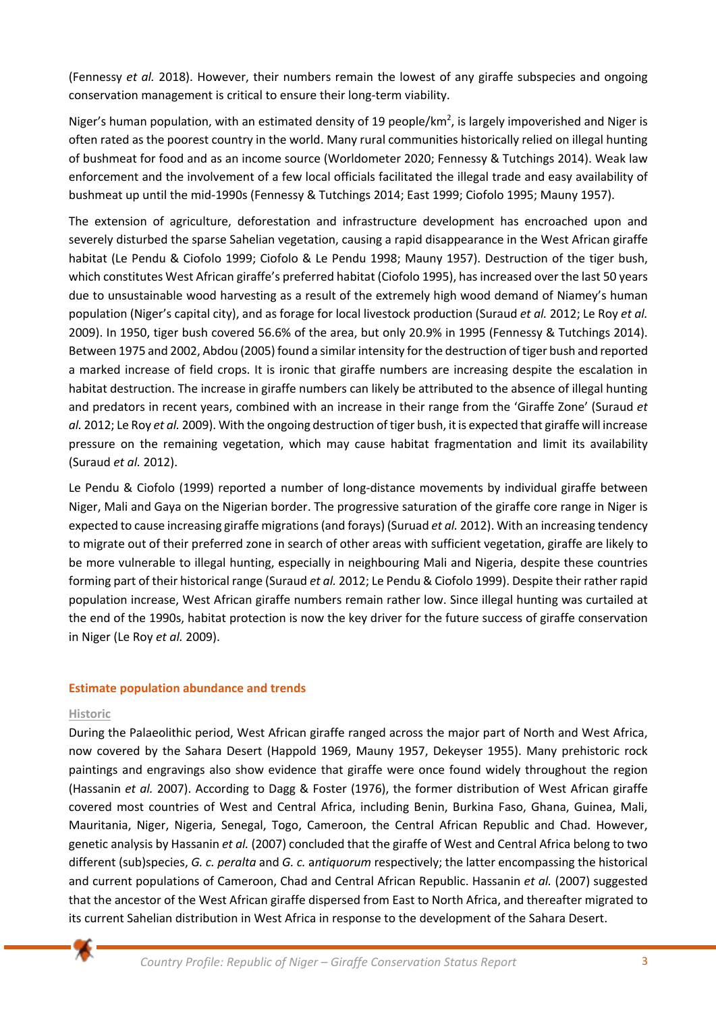(Fennessy *et al.* 2018). However, their numbers remain the lowest of any giraffe subspecies and ongoing conservation management is critical to ensure their long-term viability.

Niger's human population, with an estimated density of 19 people/km<sup>2</sup>, is largely impoverished and Niger is often rated as the poorest country in the world. Many rural communities historically relied on illegal hunting of bushmeat for food and as an income source (Worldometer 2020; Fennessy & Tutchings 2014). Weak law enforcement and the involvement of a few local officials facilitated the illegal trade and easy availability of bushmeat up until the mid-1990s (Fennessy & Tutchings 2014; East 1999; Ciofolo 1995; Mauny 1957).

The extension of agriculture, deforestation and infrastructure development has encroached upon and severely disturbed the sparse Sahelian vegetation, causing a rapid disappearance in the West African giraffe habitat (Le Pendu & Ciofolo 1999; Ciofolo & Le Pendu 1998; Mauny 1957). Destruction of the tiger bush, which constitutes West African giraffe's preferred habitat (Ciofolo 1995), has increased over the last 50 years due to unsustainable wood harvesting as a result of the extremely high wood demand of Niamey's human population (Niger's capital city), and as forage for local livestock production (Suraud *et al.* 2012; Le Roy *et al.*  2009). In 1950, tiger bush covered 56.6% of the area, but only 20.9% in 1995 (Fennessy & Tutchings 2014). Between 1975 and 2002, Abdou (2005) found a similar intensity for the destruction of tiger bush and reported a marked increase of field crops. It is ironic that giraffe numbers are increasing despite the escalation in habitat destruction. The increase in giraffe numbers can likely be attributed to the absence of illegal hunting and predators in recent years, combined with an increase in their range from the 'Giraffe Zone' (Suraud *et al.* 2012; Le Roy *et al.* 2009). With the ongoing destruction of tiger bush, it is expected that giraffe will increase pressure on the remaining vegetation, which may cause habitat fragmentation and limit its availability (Suraud *et al.* 2012).

Le Pendu & Ciofolo (1999) reported a number of long-distance movements by individual giraffe between Niger, Mali and Gaya on the Nigerian border. The progressive saturation of the giraffe core range in Niger is expected to cause increasing giraffe migrations (and forays) (Suruad *et al.* 2012). With an increasing tendency to migrate out of their preferred zone in search of other areas with sufficient vegetation, giraffe are likely to be more vulnerable to illegal hunting, especially in neighbouring Mali and Nigeria, despite these countries forming part of their historical range (Suraud *et al.* 2012; Le Pendu & Ciofolo 1999). Despite their rather rapid population increase, West African giraffe numbers remain rather low. Since illegal hunting was curtailed at the end of the 1990s, habitat protection is now the key driver for the future success of giraffe conservation in Niger (Le Roy *et al.* 2009).

#### **Estimate population abundance and trends**

#### **Historic**

During the Palaeolithic period, West African giraffe ranged across the major part of North and West Africa, now covered by the Sahara Desert (Happold 1969, Mauny 1957, Dekeyser 1955). Many prehistoric rock paintings and engravings also show evidence that giraffe were once found widely throughout the region (Hassanin *et al.* 2007). According to Dagg & Foster (1976), the former distribution of West African giraffe covered most countries of West and Central Africa, including Benin, Burkina Faso, Ghana, Guinea, Mali, Mauritania, Niger, Nigeria, Senegal, Togo, Cameroon, the Central African Republic and Chad. However, genetic analysis by Hassanin *et al.* (2007) concluded that the giraffe of West and Central Africa belong to two different (sub)species, *G. c. peralta* and *G. c.* a*ntiquorum* respectively; the latter encompassing the historical and current populations of Cameroon, Chad and Central African Republic. Hassanin *et al.* (2007) suggested that the ancestor of the West African giraffe dispersed from East to North Africa, and thereafter migrated to its current Sahelian distribution in West Africa in response to the development of the Sahara Desert.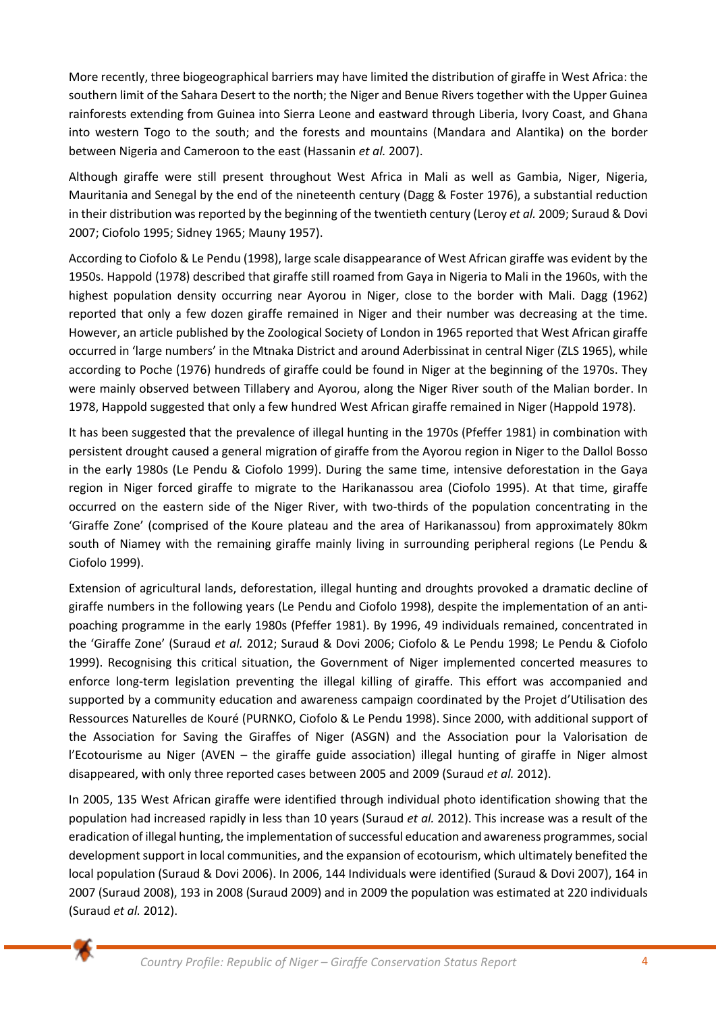More recently, three biogeographical barriers may have limited the distribution of giraffe in West Africa: the southern limit of the Sahara Desert to the north; the Niger and Benue Rivers together with the Upper Guinea rainforests extending from Guinea into Sierra Leone and eastward through Liberia, Ivory Coast, and Ghana into western Togo to the south; and the forests and mountains (Mandara and Alantika) on the border between Nigeria and Cameroon to the east (Hassanin *et al.* 2007).

Although giraffe were still present throughout West Africa in Mali as well as Gambia, Niger, Nigeria, Mauritania and Senegal by the end of the nineteenth century (Dagg & Foster 1976), a substantial reduction in their distribution was reported by the beginning of the twentieth century (Leroy *et al.* 2009; Suraud & Dovi 2007; Ciofolo 1995; Sidney 1965; Mauny 1957).

According to Ciofolo & Le Pendu (1998), large scale disappearance of West African giraffe was evident by the 1950s. Happold (1978) described that giraffe still roamed from Gaya in Nigeria to Mali in the 1960s, with the highest population density occurring near Ayorou in Niger, close to the border with Mali. Dagg (1962) reported that only a few dozen giraffe remained in Niger and their number was decreasing at the time. However, an article published by the Zoological Society of London in 1965 reported that West African giraffe occurred in 'large numbers' in the Mtnaka District and around Aderbissinat in central Niger (ZLS 1965), while according to Poche (1976) hundreds of giraffe could be found in Niger at the beginning of the 1970s. They were mainly observed between Tillabery and Ayorou, along the Niger River south of the Malian border. In 1978, Happold suggested that only a few hundred West African giraffe remained in Niger (Happold 1978).

It has been suggested that the prevalence of illegal hunting in the 1970s (Pfeffer 1981) in combination with persistent drought caused a general migration of giraffe from the Ayorou region in Niger to the Dallol Bosso in the early 1980s (Le Pendu & Ciofolo 1999). During the same time, intensive deforestation in the Gaya region in Niger forced giraffe to migrate to the Harikanassou area (Ciofolo 1995). At that time, giraffe occurred on the eastern side of the Niger River, with two-thirds of the population concentrating in the 'Giraffe Zone' (comprised of the Koure plateau and the area of Harikanassou) from approximately 80km south of Niamey with the remaining giraffe mainly living in surrounding peripheral regions (Le Pendu & Ciofolo 1999).

Extension of agricultural lands, deforestation, illegal hunting and droughts provoked a dramatic decline of giraffe numbers in the following years (Le Pendu and Ciofolo 1998), despite the implementation of an antipoaching programme in the early 1980s (Pfeffer 1981). By 1996, 49 individuals remained, concentrated in the 'Giraffe Zone' (Suraud *et al.* 2012; Suraud & Dovi 2006; Ciofolo & Le Pendu 1998; Le Pendu & Ciofolo 1999). Recognising this critical situation, the Government of Niger implemented concerted measures to enforce long-term legislation preventing the illegal killing of giraffe. This effort was accompanied and supported by a community education and awareness campaign coordinated by the Projet d'Utilisation des Ressources Naturelles de Kouré (PURNKO, Ciofolo & Le Pendu 1998). Since 2000, with additional support of the Association for Saving the Giraffes of Niger (ASGN) and the Association pour la Valorisation de l'Ecotourisme au Niger (AVEN – the giraffe guide association) illegal hunting of giraffe in Niger almost disappeared, with only three reported cases between 2005 and 2009 (Suraud *et al.* 2012).

In 2005, 135 West African giraffe were identified through individual photo identification showing that the population had increased rapidly in less than 10 years (Suraud *et al.* 2012). This increase was a result of the eradication of illegal hunting, the implementation of successful education and awareness programmes, social development support in local communities, and the expansion of ecotourism, which ultimately benefited the local population (Suraud & Dovi 2006). In 2006, 144 Individuals were identified (Suraud & Dovi 2007), 164 in 2007 (Suraud 2008), 193 in 2008 (Suraud 2009) and in 2009 the population was estimated at 220 individuals (Suraud *et al.* 2012).

₩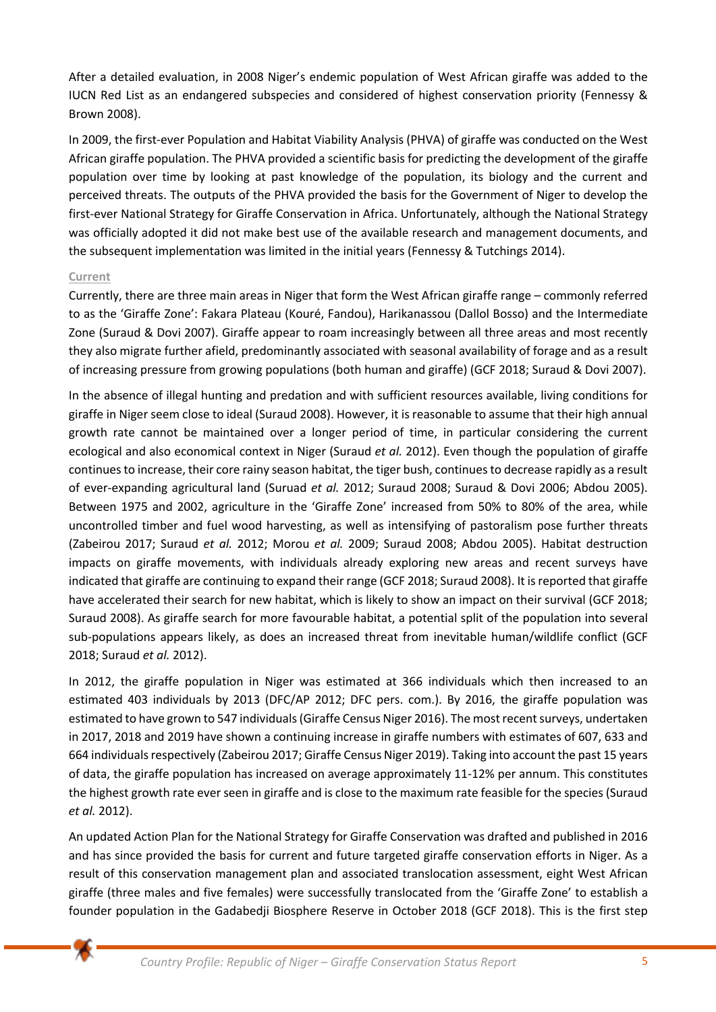After a detailed evaluation, in 2008 Niger's endemic population of West African giraffe was added to the IUCN Red List as an endangered subspecies and considered of highest conservation priority (Fennessy & Brown 2008).

In 2009, the first-ever Population and Habitat Viability Analysis (PHVA) of giraffe was conducted on the West African giraffe population. The PHVA provided a scientific basis for predicting the development of the giraffe population over time by looking at past knowledge of the population, its biology and the current and perceived threats. The outputs of the PHVA provided the basis for the Government of Niger to develop the first-ever National Strategy for Giraffe Conservation in Africa. Unfortunately, although the National Strategy was officially adopted it did not make best use of the available research and management documents, and the subsequent implementation was limited in the initial years (Fennessy & Tutchings 2014).

## **Current**

Currently, there are three main areas in Niger that form the West African giraffe range – commonly referred to as the 'Giraffe Zone': Fakara Plateau (Kouré, Fandou), Harikanassou (Dallol Bosso) and the Intermediate Zone (Suraud & Dovi 2007). Giraffe appear to roam increasingly between all three areas and most recently they also migrate further afield, predominantly associated with seasonal availability of forage and as a result of increasing pressure from growing populations (both human and giraffe) (GCF 2018; Suraud & Dovi 2007).

In the absence of illegal hunting and predation and with sufficient resources available, living conditions for giraffe in Niger seem close to ideal (Suraud 2008). However, it is reasonable to assume that their high annual growth rate cannot be maintained over a longer period of time, in particular considering the current ecological and also economical context in Niger (Suraud *et al.* 2012). Even though the population of giraffe continues to increase, their core rainy season habitat, the tiger bush, continues to decrease rapidly as a result of ever-expanding agricultural land (Suruad *et al.* 2012; Suraud 2008; Suraud & Dovi 2006; Abdou 2005). Between 1975 and 2002, agriculture in the 'Giraffe Zone' increased from 50% to 80% of the area, while uncontrolled timber and fuel wood harvesting, as well as intensifying of pastoralism pose further threats (Zabeirou 2017; Suraud *et al.* 2012; Morou *et al.* 2009; Suraud 2008; Abdou 2005). Habitat destruction impacts on giraffe movements, with individuals already exploring new areas and recent surveys have indicated that giraffe are continuing to expand their range (GCF 2018; Suraud 2008). It is reported that giraffe have accelerated their search for new habitat, which is likely to show an impact on their survival (GCF 2018; Suraud 2008). As giraffe search for more favourable habitat, a potential split of the population into several sub-populations appears likely, as does an increased threat from inevitable human/wildlife conflict (GCF 2018; Suraud *et al.* 2012).

In 2012, the giraffe population in Niger was estimated at 366 individuals which then increased to an estimated 403 individuals by 2013 (DFC/AP 2012; DFC pers. com.). By 2016, the giraffe population was estimated to have grown to 547 individuals (Giraffe Census Niger 2016). The most recent surveys, undertaken in 2017, 2018 and 2019 have shown a continuing increase in giraffe numbers with estimates of 607, 633 and 664 individuals respectively (Zabeirou 2017; Giraffe Census Niger 2019). Taking into account the past 15 years of data, the giraffe population has increased on average approximately 11-12% per annum. This constitutes the highest growth rate ever seen in giraffe and is close to the maximum rate feasible for the species (Suraud *et al.* 2012).

An updated Action Plan for the National Strategy for Giraffe Conservation was drafted and published in 2016 and has since provided the basis for current and future targeted giraffe conservation efforts in Niger. As a result of this conservation management plan and associated translocation assessment, eight West African giraffe (three males and five females) were successfully translocated from the 'Giraffe Zone' to establish a founder population in the Gadabedji Biosphere Reserve in October 2018 (GCF 2018). This is the first step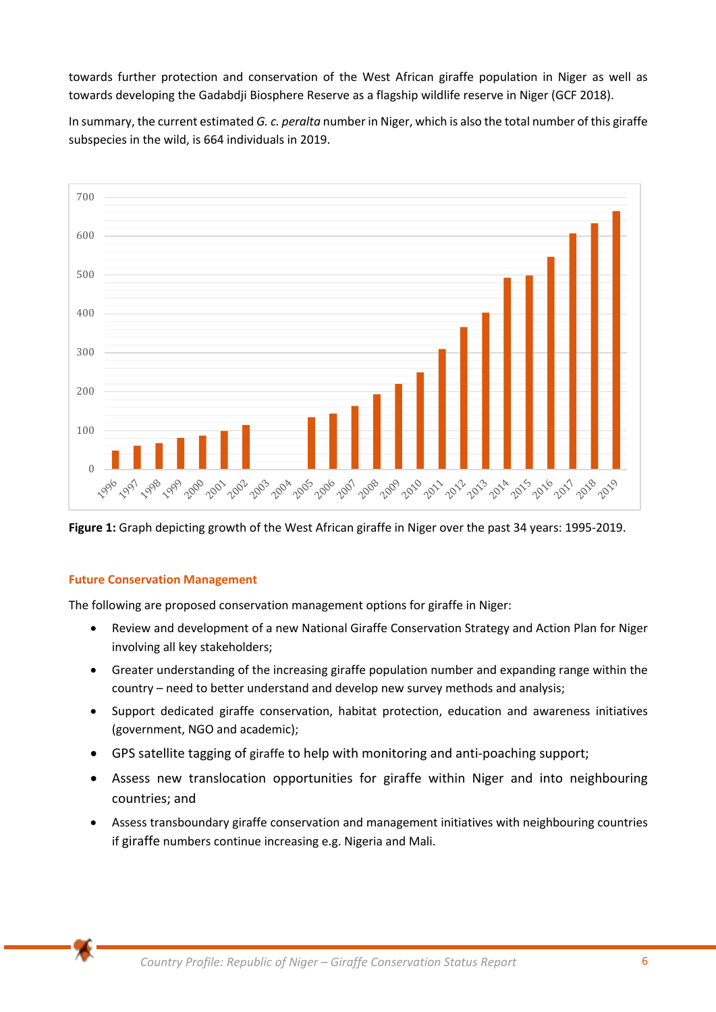towards further protection and conservation of the West African giraffe population in Niger as well as towards developing the Gadabdji Biosphere Reserve as a flagship wildlife reserve in Niger (GCF 2018).

In summary, the current estimated *G. c. peralta* number in Niger, which is also the total number of this giraffe subspecies in the wild, is 664 individuals in 2019.



**Figure 1:** Graph depicting growth of the West African giraffe in Niger over the past 34 years: 1995-2019.

#### **Future Conservation Management**

The following are proposed conservation management options for giraffe in Niger:

- Review and development of a new National Giraffe Conservation Strategy and Action Plan for Niger involving all key stakeholders;
- Greater understanding of the increasing giraffe population number and expanding range within the country – need to better understand and develop new survey methods and analysis;
- Support dedicated giraffe conservation, habitat protection, education and awareness initiatives (government, NGO and academic);
- GPS satellite tagging of giraffe to help with monitoring and anti-poaching support;
- Assess new translocation opportunities for giraffe within Niger and into neighbouring countries; and
- Assess transboundary giraffe conservation and management initiatives with neighbouring countries if giraffe numbers continue increasing e.g. Nigeria and Mali.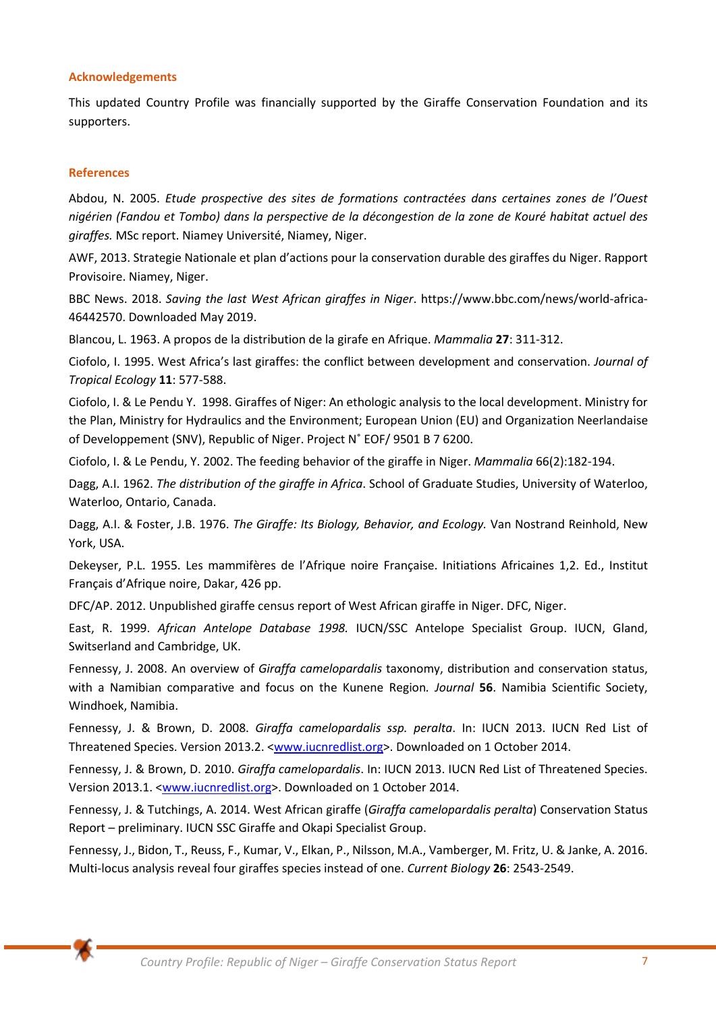#### **Acknowledgements**

This updated Country Profile was financially supported by the Giraffe Conservation Foundation and its supporters.

#### **References**

Abdou, N. 2005. *Etude prospective des sites de formations contractées dans certaines zones de l'Ouest nigérien (Fandou et Tombo) dans la perspective de la décongestion de la zone de Kouré habitat actuel des giraffes.* MSc report. Niamey Université, Niamey, Niger.

AWF, 2013. Strategie Nationale et plan d'actions pour la conservation durable des giraffes du Niger. Rapport Provisoire. Niamey, Niger.

BBC News. 2018. *Saving the last West African giraffes in Niger*. https://www.bbc.com/news/world-africa-46442570. Downloaded May 2019.

Blancou, L. 1963. A propos de la distribution de la girafe en Afrique. *Mammalia* **27**: 311-312.

Ciofolo, I. 1995. West Africa's last giraffes: the conflict between development and conservation. *Journal of Tropical Ecology* **11**: 577-588.

Ciofolo, I. & Le Pendu Y. 1998. Giraffes of Niger: An ethologic analysis to the local development. Ministry for the Plan, Ministry for Hydraulics and the Environment; European Union (EU) and Organization Neerlandaise of Developpement (SNV), Republic of Niger. Project N˚ EOF/ 9501 B 7 6200.

Ciofolo, I. & Le Pendu, Y. 2002. The feeding behavior of the giraffe in Niger. *Mammalia* 66(2):182-194.

Dagg, A.I. 1962. *The distribution of the giraffe in Africa*. School of Graduate Studies, University of Waterloo, Waterloo, Ontario, Canada.

Dagg, A.I. & Foster, J.B. 1976. *The Giraffe: Its Biology, Behavior, and Ecology.* Van Nostrand Reinhold, New York, USA.

Dekeyser, P.L. 1955. Les mammifères de l'Afrique noire Française. Initiations Africaines 1,2. Ed., Institut Français d'Afrique noire, Dakar, 426 pp.

DFC/AP. 2012. Unpublished giraffe census report of West African giraffe in Niger. DFC, Niger.

East, R. 1999. *African Antelope Database 1998.* IUCN/SSC Antelope Specialist Group. IUCN, Gland, Switserland and Cambridge, UK.

Fennessy, J. 2008. An overview of *Giraffa camelopardalis* taxonomy, distribution and conservation status, with a Namibian comparative and focus on the Kunene Region*. Journal* **56**. Namibia Scientific Society, Windhoek, Namibia.

Fennessy, J. & Brown, D. 2008. *Giraffa camelopardalis ssp. peralta*. In: IUCN 2013. IUCN Red List of Threatened Species. Version 2013.2. <www.iucnredlist.org>. Downloaded on 1 October 2014.

Fennessy, J. & Brown, D. 2010. *Giraffa camelopardalis*. In: IUCN 2013. IUCN Red List of Threatened Species. Version 2013.1. <www.iucnredlist.org>. Downloaded on 1 October 2014.

Fennessy, J. & Tutchings, A. 2014. West African giraffe (*Giraffa camelopardalis peralta*) Conservation Status Report – preliminary. IUCN SSC Giraffe and Okapi Specialist Group.

Fennessy, J., Bidon, T., Reuss, F., Kumar, V., Elkan, P., Nilsson, M.A., Vamberger, M. Fritz, U. & Janke, A. 2016. Multi-locus analysis reveal four giraffes species instead of one. *Current Biology* **26**: 2543-2549.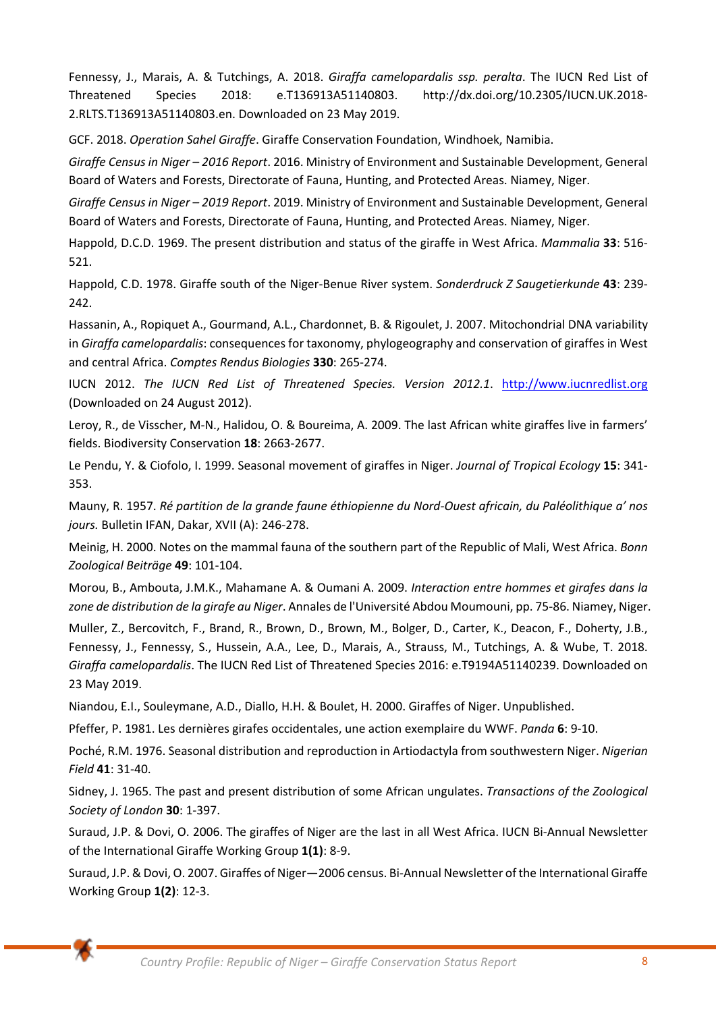Fennessy, J., Marais, A. & Tutchings, A. 2018. *Giraffa camelopardalis ssp. peralta*. The IUCN Red List of Threatened Species 2018: e.T136913A51140803. http://dx.doi.org/10.2305/IUCN.UK.2018- 2.RLTS.T136913A51140803.en. Downloaded on 23 May 2019.

GCF. 2018. *Operation Sahel Giraffe*. Giraffe Conservation Foundation, Windhoek, Namibia.

*Giraffe Census in Niger – 2016 Report*. 2016. Ministry of Environment and Sustainable Development, General Board of Waters and Forests, Directorate of Fauna, Hunting, and Protected Areas. Niamey, Niger.

*Giraffe Census in Niger – 2019 Report*. 2019. Ministry of Environment and Sustainable Development, General Board of Waters and Forests, Directorate of Fauna, Hunting, and Protected Areas. Niamey, Niger.

Happold, D.C.D. 1969. The present distribution and status of the giraffe in West Africa. *Mammalia* **33**: 516- 521.

Happold, C.D. 1978. Giraffe south of the Niger-Benue River system. *Sonderdruck Z Saugetierkunde* **43**: 239- 242.

Hassanin, A., Ropiquet A., Gourmand, A.L., Chardonnet, B. & Rigoulet, J. 2007. Mitochondrial DNA variability in *Giraffa camelopardalis*: consequences for taxonomy, phylogeography and conservation of giraffes in West and central Africa. *Comptes Rendus Biologies* **330**: 265-274.

IUCN 2012. *The IUCN Red List of Threatened Species. Version 2012.1*. http://www.iucnredlist.org (Downloaded on 24 August 2012).

Leroy, R., de Visscher, M-N., Halidou, O. & Boureima, A. 2009. The last African white giraffes live in farmers' fields. Biodiversity Conservation **18**: 2663-2677.

Le Pendu, Y. & Ciofolo, I. 1999. Seasonal movement of giraffes in Niger. *Journal of Tropical Ecology* **15**: 341- 353.

Mauny, R. 1957. *Ré partition de la grande faune éthiopienne du Nord-Ouest africain, du Paléolithique a' nos jours.* Bulletin IFAN, Dakar, XVII (A): 246-278.

Meinig, H. 2000. Notes on the mammal fauna of the southern part of the Republic of Mali, West Africa. *Bonn Zoological Beiträge* **49**: 101-104.

Morou, B., Ambouta, J.M.K., Mahamane A. & Oumani A. 2009. *Interaction entre hommes et girafes dans la zone de distribution de la girafe au Niger*. Annales de l'Université Abdou Moumouni, pp. 75-86. Niamey, Niger.

Muller, Z., Bercovitch, F., Brand, R., Brown, D., Brown, M., Bolger, D., Carter, K., Deacon, F., Doherty, J.B., Fennessy, J., Fennessy, S., Hussein, A.A., Lee, D., Marais, A., Strauss, M., Tutchings, A. & Wube, T. 2018. *Giraffa camelopardalis*. The IUCN Red List of Threatened Species 2016: e.T9194A51140239. Downloaded on 23 May 2019.

Niandou, E.I., Souleymane, A.D., Diallo, H.H. & Boulet, H. 2000. Giraffes of Niger. Unpublished.

Pfeffer, P. 1981. Les dernières girafes occidentales, une action exemplaire du WWF. *Panda* **6**: 9-10.

Poché, R.M. 1976. Seasonal distribution and reproduction in Artiodactyla from southwestern Niger. *Nigerian Field* **41**: 31-40.

Sidney, J. 1965. The past and present distribution of some African ungulates. *Transactions of the Zoological Society of London* **30**: 1-397.

Suraud, J.P. & Dovi, O. 2006. The giraffes of Niger are the last in all West Africa. IUCN Bi-Annual Newsletter of the International Giraffe Working Group **1(1)**: 8-9.

Suraud, J.P. & Dovi, O. 2007. Giraffes of Niger—2006 census. Bi-Annual Newsletter of the International Giraffe Working Group **1(2)**: 12-3.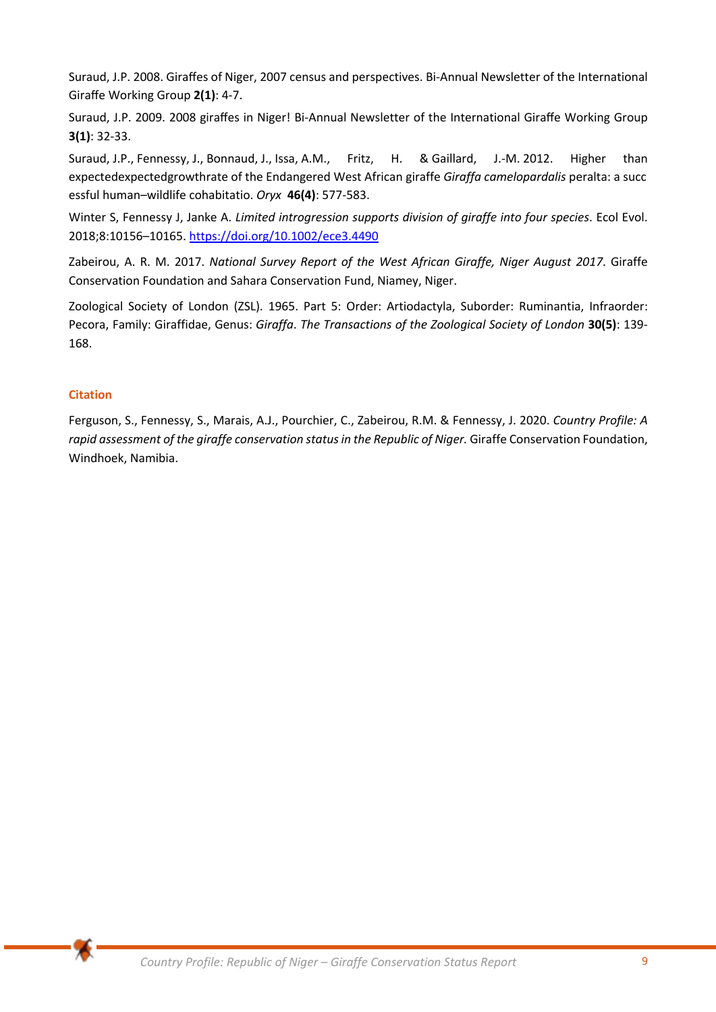Suraud, J.P. 2008. Giraffes of Niger, 2007 census and perspectives. Bi-Annual Newsletter of the International Giraffe Working Group **2(1)**: 4-7.

Suraud, J.P. 2009. 2008 giraffes in Niger! Bi-Annual Newsletter of the International Giraffe Working Group **3(1)**: 32-33.

Suraud, J.P., Fennessy, J., Bonnaud, J., Issa, A.M., Fritz, H. & Gaillard, J.-M. 2012. Higher than expectedexpectedgrowthrate of the Endangered West African giraffe *Giraffa camelopardalis* peralta: a succ essful human–wildlife cohabitatio. *Oryx* **46(4)**: 577-583.

Winter S, Fennessy J, Janke A. *Limited introgression supports division of giraffe into four species*. Ecol Evol. 2018;8:10156–10165. https://doi.org/10.1002/ece3.4490

Zabeirou, A. R. M. 2017. *National Survey Report of the West African Giraffe, Niger August 2017*. Giraffe Conservation Foundation and Sahara Conservation Fund, Niamey, Niger.

Zoological Society of London (ZSL). 1965. Part 5: Order: Artiodactyla, Suborder: Ruminantia, Infraorder: Pecora, Family: Giraffidae, Genus: *Giraffa*. *The Transactions of the Zoological Society of London* **30(5)**: 139- 168.

## **Citation**

Ferguson, S., Fennessy, S., Marais, A.J., Pourchier, C., Zabeirou, R.M. & Fennessy, J. 2020. *Country Profile: A*  rapid assessment of the giraffe conservation status in the Republic of Niger. Giraffe Conservation Foundation, Windhoek, Namibia.